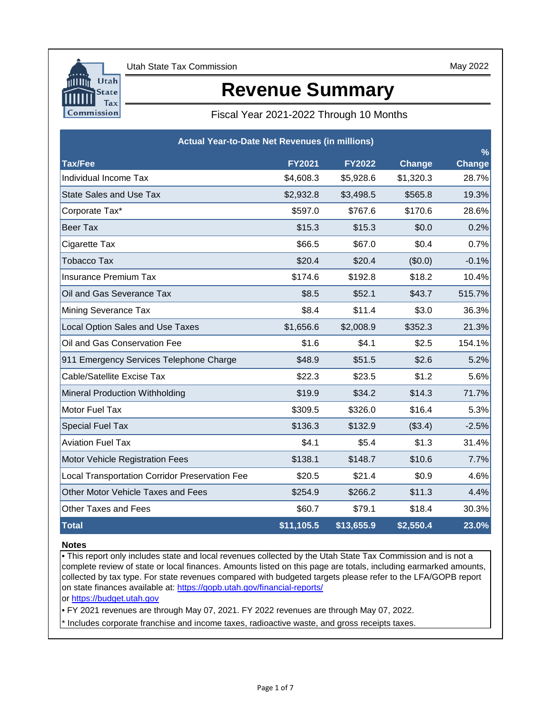

May 2022

# **Revenue Summary**

## Fiscal Year 2021-2022 Through 10 Months

|                                                       | <b>Actual Year-to-Date Net Revenues (in millions)</b> |               |           |                                |  |  |  |  |  |  |  |
|-------------------------------------------------------|-------------------------------------------------------|---------------|-----------|--------------------------------|--|--|--|--|--|--|--|
| Tax/Fee                                               | <b>FY2021</b>                                         | <b>FY2022</b> | Change    | $\frac{9}{6}$<br><b>Change</b> |  |  |  |  |  |  |  |
| Individual Income Tax                                 | \$4,608.3                                             | \$5,928.6     | \$1,320.3 | 28.7%                          |  |  |  |  |  |  |  |
| <b>State Sales and Use Tax</b>                        | \$2,932.8                                             | \$3,498.5     | \$565.8   | 19.3%                          |  |  |  |  |  |  |  |
| Corporate Tax*                                        | \$597.0                                               | \$767.6       | \$170.6   | 28.6%                          |  |  |  |  |  |  |  |
| <b>Beer Tax</b>                                       | \$15.3                                                | \$15.3        | \$0.0     | 0.2%                           |  |  |  |  |  |  |  |
| Cigarette Tax                                         | \$66.5                                                | \$67.0        | \$0.4     | 0.7%                           |  |  |  |  |  |  |  |
| <b>Tobacco Tax</b>                                    | \$20.4                                                | \$20.4        | (\$0.0)   | $-0.1%$                        |  |  |  |  |  |  |  |
| <b>Insurance Premium Tax</b>                          | \$174.6                                               | \$192.8       | \$18.2    | 10.4%                          |  |  |  |  |  |  |  |
| Oil and Gas Severance Tax                             | \$8.5                                                 | \$52.1        | \$43.7    | 515.7%                         |  |  |  |  |  |  |  |
| Mining Severance Tax                                  | \$8.4                                                 | \$11.4        | \$3.0     | 36.3%                          |  |  |  |  |  |  |  |
| Local Option Sales and Use Taxes                      | \$1,656.6                                             | \$2,008.9     | \$352.3   | 21.3%                          |  |  |  |  |  |  |  |
| Oil and Gas Conservation Fee                          | \$1.6                                                 | \$4.1         | \$2.5     | 154.1%                         |  |  |  |  |  |  |  |
| 911 Emergency Services Telephone Charge               | \$48.9                                                | \$51.5        | \$2.6     | 5.2%                           |  |  |  |  |  |  |  |
| Cable/Satellite Excise Tax                            | \$22.3                                                | \$23.5        | \$1.2     | 5.6%                           |  |  |  |  |  |  |  |
| Mineral Production Withholding                        | \$19.9                                                | \$34.2        | \$14.3    | 71.7%                          |  |  |  |  |  |  |  |
| Motor Fuel Tax                                        | \$309.5                                               | \$326.0       | \$16.4    | 5.3%                           |  |  |  |  |  |  |  |
| <b>Special Fuel Tax</b>                               | \$136.3                                               | \$132.9       | (\$3.4)   | $-2.5%$                        |  |  |  |  |  |  |  |
| <b>Aviation Fuel Tax</b>                              | \$4.1                                                 | \$5.4         | \$1.3     | 31.4%                          |  |  |  |  |  |  |  |
| Motor Vehicle Registration Fees                       | \$138.1                                               | \$148.7       | \$10.6    | 7.7%                           |  |  |  |  |  |  |  |
| <b>Local Transportation Corridor Preservation Fee</b> | \$20.5                                                | \$21.4        | \$0.9     | 4.6%                           |  |  |  |  |  |  |  |
| Other Motor Vehicle Taxes and Fees                    | \$254.9                                               | \$266.2       | \$11.3    | 4.4%                           |  |  |  |  |  |  |  |
| <b>Other Taxes and Fees</b>                           | \$60.7                                                | \$79.1        | \$18.4    | 30.3%                          |  |  |  |  |  |  |  |
| <b>Total</b>                                          | \$11,105.5                                            | \$13,655.9    | \$2,550.4 | 23.0%                          |  |  |  |  |  |  |  |

### **Notes**

• This report only includes state and local revenues collected by the Utah State Tax Commission and is not a complete review of state or local finances. Amounts listed on this page are totals, including earmarked amounts, collected by tax type. For state revenues compared with budgeted targets please refer to the LFA/GOPB report on state finances available at: https://gopb.utah.gov/financial-reports/

[or https://budget.utah.gov](https://le.utah.gov/asp/lfa/lfareports.asp?src=LFAREV)

• FY 2021 revenues are through May 07, 2021. FY 2022 revenues are through May 07, 2022.

\* Includes corporate franchise and income taxes, radioactive waste, and gross receipts taxes.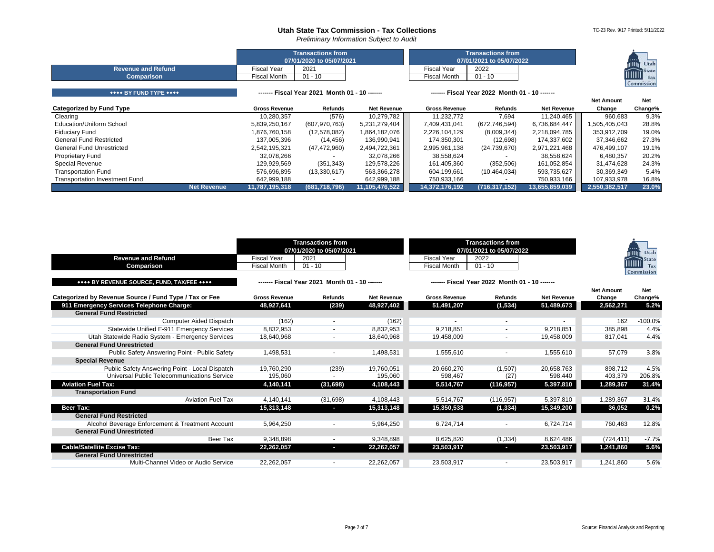*Preliminary Information Subject to Audit*

|                           |             | <b>Transactions from</b><br>07/01/2020 to 05/07/2021 |                     | <b>Transactions from</b><br>07/01/2021 to 05/07/2022 | $-0.0000$<br>Utah<br>mun                 |
|---------------------------|-------------|------------------------------------------------------|---------------------|------------------------------------------------------|------------------------------------------|
| <b>Revenue and Refund</b> | Fiscal Year | 2021                                                 | Fiscal Year         | 2022                                                 |                                          |
| <b>Comparison</b>         | iscal Month | $01 - 10$                                            | <b>Fiscal Month</b> | $01 - 10$                                            | <b>IIIIIII</b> State<br>Tax <sup>1</sup> |
|                           |             |                                                      |                     |                                                      | Commission                               |

| **** BY FUND TYPE ****                | ------ Fiscal Year 2021 Month 01 - 10 ------ |                 |                    | Fiscal Year 2022 Month 01 - 10 ------ |                 |                    |                   |            |
|---------------------------------------|----------------------------------------------|-----------------|--------------------|---------------------------------------|-----------------|--------------------|-------------------|------------|
|                                       |                                              |                 |                    |                                       |                 |                    | <b>Net Amount</b> | <b>Net</b> |
| Categorized by Fund Type              | <b>Gross Revenue</b>                         | Refunds         | <b>Net Revenue</b> | <b>Gross Revenue</b>                  | Refunds         | <b>Net Revenue</b> | Change            | Change%    |
| Clearing                              | 10.280.357                                   | (576)           | 10,279,782         | 11,232,772                            | 7.694           | 11,240,465         | 960,683           | 9.3%       |
| Education/Uniform School              | 5,839,250,167                                | (607, 970, 763) | 5,231,279,404      | 7.409.431.041                         | (672, 746, 594) | 6,736,684,447      | 1,505,405,043     | 28.8%      |
| <b>Fiduciary Fund</b>                 | 1,876,760,158                                | (12,578,082)    | 1,864,182,076      | 2,226,104,129                         | (8,009,344)     | 2,218,094,785      | 353,912,709       | 19.0%      |
| <b>General Fund Restricted</b>        | 137.005.396                                  | (14, 456)       | 136,990,941        | 174.350.301                           | (12,698)        | 174,337,602        | 37,346,662        | 27.3%      |
| General Fund Unrestricted             | 2,542,195,321                                | (47, 472, 960)  | 2,494,722,361      | 2,995,961,138                         | (24,739,670)    | 2,971,221,468      | 476.499.107       | 19.1%      |
| <b>Proprietary Fund</b>               | 32,078,266                                   |                 | 32,078,266         | 38,558,624                            |                 | 38,558,624         | 6,480,357         | 20.2%      |
| <b>Special Revenue</b>                | 129.929.569                                  | (351, 343)      | 129.578.226        | 161.405.360                           | (352, 506)      | 161.052.854        | 31.474.628        | 24.3%      |
| <b>Transportation Fund</b>            | 576,696,895                                  | (13,330,617)    | 563,366,278        | 604,199,661                           | (10, 464, 034)  | 593,735,627        | 30,369,349        | 5.4%       |
| <b>Transportation Investment Fund</b> | 642,999,188                                  |                 | 642,999,188        | 750,933,166                           |                 | 750,933,166        | 107,933,978       | 16.8%      |
| Net Revenue                           | 11,787,195,318                               | (681, 718, 796) | 11,105,476,522     | 14,372,176,192                        | (716, 317, 152) | 13,655,859,039     | 2,550,382,517     | 23.0%      |

<span id="page-1-4"></span><span id="page-1-3"></span><span id="page-1-2"></span><span id="page-1-1"></span><span id="page-1-0"></span>

| <b>Revenue and Refund</b><br>Comparison                | <b>Fiscal Year</b><br><b>Fiscal Month</b> | <b>Transactions from</b><br>07/01/2020 to 05/07/2021<br>2021<br>$01 - 10$ |                    | <b>Fiscal Year</b><br><b>Fiscal Month</b> | <b>Transactions from</b><br>07/01/2021 to 05/07/2022<br>2022<br>$01 - 10$ |                    |                             | Utah<br><b>State</b><br><b>!!!!!!!!</b><br>Tax<br>Commission |
|--------------------------------------------------------|-------------------------------------------|---------------------------------------------------------------------------|--------------------|-------------------------------------------|---------------------------------------------------------------------------|--------------------|-----------------------------|--------------------------------------------------------------|
| **** BY REVENUE SOURCE, FUND, TAX/FEE ****             |                                           | ------- Fiscal Year 2021 Month 01 - 10 -------                            |                    |                                           | ------ Fiscal Year 2022 Month 01 - 10 ------                              |                    |                             |                                                              |
| Categorized by Revenue Source / Fund Type / Tax or Fee | <b>Gross Revenue</b>                      | <b>Refunds</b>                                                            | <b>Net Revenue</b> | <b>Gross Revenue</b>                      | <b>Refunds</b>                                                            | <b>Net Revenue</b> | <b>Net Amount</b><br>Change | <b>Net</b><br>Change%                                        |
| 911 Emergency Services Telephone Charge:               | 48,927,641                                | (239)                                                                     | 48,927,402         | 51,491,207                                | (1,534)                                                                   | 51,489,673         | 2,562,271                   | 5.2%                                                         |
| <b>General Fund Restricted</b>                         |                                           |                                                                           |                    |                                           |                                                                           |                    |                             |                                                              |
| <b>Computer Aided Dispatch</b>                         | (162)                                     | $\overline{\phantom{a}}$                                                  | (162)              |                                           | $\overline{\phantom{a}}$                                                  |                    | 162                         | $-100.0%$                                                    |
| Statewide Unified E-911 Emergency Services             | 8,832,953                                 |                                                                           | 8,832,953          | 9.218.851                                 |                                                                           | 9,218,851          | 385,898                     | 4.4%                                                         |
| Utah Statewide Radio System - Emergency Services       | 18,640,968                                |                                                                           | 18,640,968         | 19,458,009                                |                                                                           | 19,458,009         | 817.041                     | 4.4%                                                         |
| <b>General Fund Unrestricted</b>                       |                                           |                                                                           |                    |                                           |                                                                           |                    |                             |                                                              |
| Public Safety Answering Point - Public Safety          | 1,498,531                                 |                                                                           | 1,498,531          | 1,555,610                                 |                                                                           | 1,555,610          | 57,079                      | 3.8%                                                         |
| <b>Special Revenue</b>                                 |                                           |                                                                           |                    |                                           |                                                                           |                    |                             |                                                              |
| Public Safety Answering Point - Local Dispatch         | 19.760.290                                | (239)                                                                     | 19.760.051         | 20.660.270                                | (1,507)                                                                   | 20,658,763         | 898.712                     | 4.5%                                                         |
| Universal Public Telecommunications Service            | 195,060                                   |                                                                           | 195,060            | 598,467                                   | (27)                                                                      | 598,440            | 403,379                     | 206.8%                                                       |
| <b>Aviation Fuel Tax:</b>                              | 4,140,141                                 | (31, 698)                                                                 | 4,108,443          | 5,514,767                                 | (116, 957)                                                                | 5,397,810          | 1,289,367                   | 31.4%                                                        |
| <b>Transportation Fund</b><br><b>Aviation Fuel Tax</b> |                                           |                                                                           |                    |                                           |                                                                           |                    |                             | 31.4%                                                        |
|                                                        | 4.140.141                                 | (31,698)                                                                  | 4,108,443          | 5.514.767                                 | (116, 957)                                                                | 5.397.810          | 1.289.367                   |                                                              |
| Beer Tax:<br><b>General Fund Restricted</b>            | 15,313,148                                | o.                                                                        | 15,313,148         | 15,350,533                                | (1, 334)                                                                  | 15,349,200         | 36,052                      | 0.2%                                                         |
| Alcohol Beverage Enforcement & Treatment Account       | 5,964,250                                 | $\overline{\phantom{a}}$                                                  | 5,964,250          | 6.724.714                                 | $\blacksquare$                                                            | 6,724,714          | 760,463                     | 12.8%                                                        |
| <b>General Fund Unrestricted</b>                       |                                           |                                                                           |                    |                                           |                                                                           |                    |                             |                                                              |
| Beer Tax                                               | 9,348,898                                 | $\overline{\phantom{a}}$                                                  | 9,348,898          | 8,625,820                                 | (1, 334)                                                                  | 8,624,486          | (724, 411)                  | $-7.7%$                                                      |
| <b>Cable/Satellite Excise Tax:</b>                     | 22,262,057                                | ı                                                                         | 22,262,057         | 23,503,917                                | o.                                                                        | 23,503,917         | 1,241,860                   | 5.6%                                                         |
| <b>General Fund Unrestricted</b>                       |                                           |                                                                           |                    |                                           |                                                                           |                    |                             |                                                              |
| Multi-Channel Video or Audio Service                   | 22,262,057                                |                                                                           | 22,262,057         | 23,503,917                                |                                                                           | 23,503,917         | 1,241,860                   | 5.6%                                                         |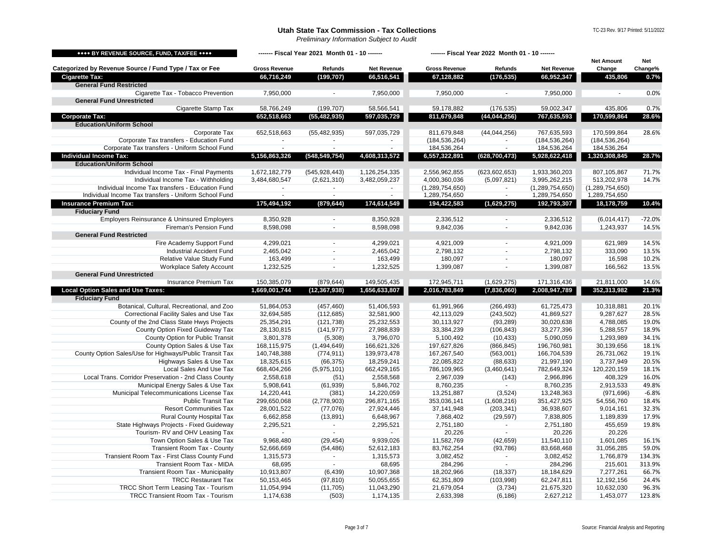*Preliminary Information Subject to Audit*

TC-23 Rev. 9/17 Printed: 5/11/2022

<span id="page-2-4"></span><span id="page-2-3"></span><span id="page-2-2"></span><span id="page-2-1"></span><span id="page-2-0"></span>

| **** BY REVENUE SOURCE, FUND, TAX/FEE ****                        |                        | ------- Fiscal Year 2021 Month 01 - 10 ------- |                        |                        | ------- Fiscal Year 2022 Month 01 - 10 ------- |                        |                      |                |
|-------------------------------------------------------------------|------------------------|------------------------------------------------|------------------------|------------------------|------------------------------------------------|------------------------|----------------------|----------------|
|                                                                   |                        |                                                |                        |                        |                                                |                        | <b>Net Amount</b>    | Net            |
| Categorized by Revenue Source / Fund Type / Tax or Fee            | <b>Gross Revenue</b>   | Refunds                                        | <b>Net Revenue</b>     | <b>Gross Revenue</b>   | Refunds                                        | <b>Net Revenue</b>     | Change               | Change%        |
| <b>Cigarette Tax:</b>                                             | 66,716,249             | (199, 707)                                     | 66,516,541             | 67,128,882             | (176, 535)                                     | 66,952,347             | 435,806              | 0.7%           |
| <b>General Fund Restricted</b>                                    |                        |                                                |                        |                        |                                                |                        |                      |                |
| Cigarette Tax - Tobacco Prevention                                | 7,950,000              |                                                | 7,950,000              | 7,950,000              |                                                | 7,950,000              |                      | 0.0%           |
| <b>General Fund Unrestricted</b>                                  |                        |                                                | 58,566,541             |                        |                                                |                        |                      |                |
| Cigarette Stamp Tax                                               | 58,766,249             | (199, 707)                                     |                        | 59,178,882             | (176, 535)                                     | 59,002,347             | 435,806              | 0.7%<br>28.6%  |
| <b>Corporate Tax:</b><br><b>Education/Uniform School</b>          | 652,518,663            | (55, 482, 935)                                 | 597,035,729            | 811,679,848            | (44, 044, 256)                                 | 767,635,593            | 170,599,864          |                |
| Corporate Tax                                                     | 652,518,663            | (55, 482, 935)                                 | 597,035,729            | 811,679,848            | (44, 044, 256)                                 | 767,635,593            | 170,599,864          | 28.6%          |
| Corporate Tax transfers - Education Fund                          | $\sim$                 | $\blacksquare$                                 |                        | (184, 536, 264)        | $\sim$                                         | (184, 536, 264)        | (184, 536, 264)      |                |
| Corporate Tax transfers - Uniform School Fund                     | $\sim$                 | $\blacksquare$                                 |                        | 184,536,264            |                                                | 184,536,264            | 184,536,264          |                |
| <b>Individual Income Tax:</b>                                     | 5,156,863,326          | (548,549,754)                                  | 4,608,313,572          | 6,557,322,891          | (628, 700, 473)                                | 5,928,622,418          | 1,320,308,845        | 28.7%          |
| <b>Education/Uniform School</b>                                   |                        |                                                |                        |                        |                                                |                        |                      |                |
| Individual Income Tax - Final Payments                            | 1,672,182,779          | (545, 928, 443)                                | 1,126,254,335          | 2,556,962,855          | (623, 602, 653)                                | 1,933,360,203          | 807,105,867          | 71.7%          |
| Individual Income Tax - Withholding                               | 3,484,680,547          | (2,621,310)                                    | 3,482,059,237          | 4,000,360,036          | (5,097,821)                                    | 3,995,262,215          | 513,202,978          | 14.7%          |
| Individual Income Tax transfers - Education Fund                  | $\sim$                 | $\blacksquare$                                 | $\blacksquare$         | (1, 289, 754, 650)     | $\blacksquare$                                 | (1, 289, 754, 650)     | (1, 289, 754, 650)   |                |
| Individual Income Tax transfers - Uniform School Fund             | $\sim$                 | $\sim$                                         | $\sim$                 | 1,289,754,650          | $\sim$                                         | 1,289,754,650          | 1,289,754,650        |                |
| <b>Insurance Premium Tax:</b>                                     | 175,494,192            | (879, 644)                                     | 174,614,549            | 194,422,583            | (1,629,275)                                    | 192,793,307            | 18,178,759           | 10.4%          |
| <b>Fiduciary Fund</b>                                             |                        |                                                |                        |                        |                                                |                        |                      |                |
| <b>Employers Reinsurance &amp; Uninsured Employers</b>            | 8,350,928              | $\overline{\phantom{a}}$                       | 8,350,928              | 2,336,512              |                                                | 2,336,512              | (6,014,417)          | $-72.0%$       |
| Fireman's Pension Fund                                            | 8,598,098              | $\sim$                                         | 8,598,098              | 9,842,036              |                                                | 9,842,036              | 1,243,937            | 14.5%          |
| <b>General Fund Restricted</b>                                    |                        |                                                |                        |                        |                                                |                        |                      |                |
| Fire Academy Support Fund                                         | 4,299,021              | $\sim$                                         | 4,299,021              | 4,921,009              |                                                | 4,921,009              | 621,989              | 14.5%          |
| Industrial Accident Fund                                          | 2,465,042              | $\mathbf{r}$                                   | 2,465,042              | 2,798,132              | $\sim$                                         | 2,798,132              | 333,090              | 13.5%          |
| Relative Value Study Fund                                         | 163,499                | $\sim$                                         | 163,499                | 180,097                | $\blacksquare$                                 | 180,097                | 16,598               | 10.2%          |
| Workplace Safety Account<br><b>General Fund Unrestricted</b>      | 1,232,525              | $\sim$                                         | 1,232,525              | 1,399,087              | $\sim$                                         | 1,399,087              | 166,562              | 13.5%          |
| <b>Insurance Premium Tax</b>                                      | 150,385,079            | (879, 644)                                     | 149,505,435            | 172,945,711            | (1,629,275)                                    | 171,316,436            | 21,811,000           | 14.6%          |
| <b>Local Option Sales and Use Taxes:</b>                          | 1,669,001,744          | (12,367,938)                                   | 1,656,633,807          | 2,016,783,849          | (7,836,060)                                    | 2,008,947,789          | 352,313,982          | 21.3%          |
| <b>Fiduciary Fund</b>                                             |                        |                                                |                        |                        |                                                |                        |                      |                |
| Botanical, Cultural, Recreational, and Zoo                        | 51,864,053             | (457, 460)                                     | 51,406,593             | 61,991,966             | (266, 493)                                     | 61,725,473             | 10,318,881           | 20.1%          |
| Correctional Facility Sales and Use Tax                           | 32,694,585             | (112, 685)                                     | 32,581,900             | 42,113,029             | (243, 502)                                     | 41,869,527             | 9,287,627            | 28.5%          |
| County of the 2nd Class State Hwys Projects                       | 25,354,291             | (121, 738)                                     | 25,232,553             | 30,113,927             | (93, 289)                                      | 30,020,638             | 4,788,085            | 19.0%          |
| County Option Fixed Guideway Tax                                  | 28,130,815             | (141, 977)                                     | 27,988,839             | 33,384,239             | (106, 843)                                     | 33,277,396             | 5,288,557            | 18.9%          |
| County Option for Public Transit                                  | 3,801,378              | (5,308)                                        | 3,796,070              | 5,100,492              | (10, 433)                                      | 5,090,059              | 1,293,989            | 34.1%          |
| County Option Sales & Use Tax                                     | 168,115,975            | (1,494,649)                                    | 166,621,326            | 197,627,826            | (866, 845)                                     | 196,760,981            | 30,139,656           | 18.1%          |
| County Option Sales/Use for Highways/Public Transit Tax           | 140,748,388            | (774, 911)                                     | 139,973,478            | 167,267,540            | (563,001)                                      | 166,704,539            | 26,731,062           | 19.1%          |
| Highways Sales & Use Tax                                          | 18,325,615             | (66, 375)                                      | 18,259,241             | 22,085,822             | (88, 633)                                      | 21,997,190             | 3,737,949            | 20.5%          |
| Local Sales And Use Tax                                           | 668,404,266            | (5,975,101)                                    | 662,429,165            | 786,109,965            | (3,460,641)                                    | 782,649,324            | 120,220,159          | 18.1%          |
| Local Trans. Corridor Preservation - 2nd Class County             | 2,558,618              | (51)                                           | 2,558,568              | 2,967,039              | (143)                                          | 2,966,896              | 408,329              | 16.0%          |
| Municipal Energy Sales & Use Tax                                  | 5,908,641              | (61, 939)                                      | 5,846,702              | 8,760,235              |                                                | 8,760,235              | 2,913,533            | 49.8%          |
| Municipal Telecommunications License Tax                          | 14,220,441             | (381)                                          | 14,220,059             | 13,251,887             | (3,524)                                        | 13,248,363             | (971, 696)           | $-6.8%$        |
| <b>Public Transit Tax</b>                                         | 299,650,068            | (2,778,903)                                    | 296,871,165            | 353,036,141            | (1,608,216)                                    | 351,427,925            | 54,556,760           | 18.4%          |
| <b>Resort Communities Tax</b><br><b>Rural County Hospital Tax</b> | 28,001,522             | (77,076)                                       | 27,924,446             | 37,141,948             | (203, 341)                                     | 36,938,607             | 9,014,161            | 32.3%<br>17.9% |
| State Highways Projects - Fixed Guideway                          | 6,662,858<br>2,295,521 | (13, 891)<br>$\sim$                            | 6,648,967<br>2,295,521 | 7,868,402<br>2,751,180 | (29, 597)<br>$\sim$                            | 7,838,805<br>2,751,180 | 1,189,839<br>455,659 | 19.8%          |
| Tourism-RV and OHV Leasing Tax                                    |                        | $\sim$                                         |                        | 20,226                 |                                                | 20,226                 | 20,226               |                |
| Town Option Sales & Use Tax                                       | 9,968,480              | (29, 454)                                      | 9,939,026              | 11,582,769             | (42, 659)                                      | 11,540,110             | 1,601,085            | 16.1%          |
| <b>Transient Room Tax - County</b>                                | 52,666,669             | (54, 486)                                      | 52,612,183             | 83,762,254             | (93, 786)                                      | 83,668,468             | 31,056,285           | 59.0%          |
| Transient Room Tax - First Class County Fund                      | 1,315,573              | $\sim$                                         | 1,315,573              | 3,082,452              | $\blacksquare$                                 | 3,082,452              | 1,766,879            | 134.3%         |
| Transient Room Tax - MIDA                                         | 68,695                 | $\sim$                                         | 68,695                 | 284,296                | $\sim$                                         | 284,296                | 215,601              | 313.9%         |
| <b>Transient Room Tax - Municipality</b>                          | 10,913,807             | (6, 439)                                       | 10,907,368             | 18,202,966             | (18, 337)                                      | 18,184,629             | 7,277,261            | 66.7%          |
| <b>TRCC Restaurant Tax</b>                                        | 50,153,465             | (97, 810)                                      | 50,055,655             | 62,351,809             | (103,998)                                      | 62,247,811             | 12,192,156           | 24.4%          |
| TRCC Short Term Leasing Tax - Tourism                             | 11,054,994             | (11, 705)                                      | 11,043,290             | 21,679,054             | (3,734)                                        | 21,675,320             | 10,632,030           | 96.3%          |
| <b>TRCC Transient Room Tax - Tourism</b>                          | 1,174,638              | (503)                                          | 1,174,135              | 2,633,398              | (6, 186)                                       | 2,627,212              | 1,453,077            | 123.8%         |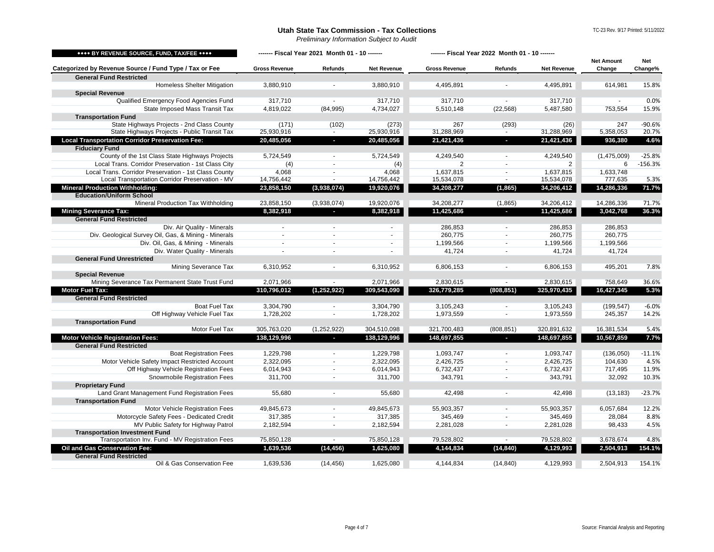*Preliminary Information Subject to Audit*

<span id="page-3-5"></span><span id="page-3-4"></span><span id="page-3-3"></span><span id="page-3-2"></span><span id="page-3-1"></span><span id="page-3-0"></span>

| **** BY REVENUE SOURCE, FUND, TAX/FEE ****             |                      | ------- Fiscal Year 2021 Month 01 - 10 ------ |                    | ------- Fiscal Year 2022 Month 01 - 10 ------- |                          |                    |                             |                |
|--------------------------------------------------------|----------------------|-----------------------------------------------|--------------------|------------------------------------------------|--------------------------|--------------------|-----------------------------|----------------|
| Categorized by Revenue Source / Fund Type / Tax or Fee | <b>Gross Revenue</b> | <b>Refunds</b>                                | <b>Net Revenue</b> | <b>Gross Revenue</b>                           | <b>Refunds</b>           | <b>Net Revenue</b> | <b>Net Amount</b><br>Change | Net<br>Change% |
| <b>General Fund Restricted</b>                         |                      |                                               |                    |                                                |                          |                    |                             |                |
| <b>Homeless Shelter Mitigation</b>                     | 3,880,910            |                                               | 3,880,910          | 4,495,891                                      |                          | 4,495,891          | 614,981                     | 15.8%          |
| <b>Special Revenue</b>                                 |                      |                                               |                    |                                                |                          |                    |                             |                |
| Qualified Emergency Food Agencies Fund                 | 317.710              |                                               | 317.710            | 317.710                                        |                          | 317.710            | $\sim$                      | 0.0%           |
| State Imposed Mass Transit Tax                         | 4,819,022            | (84,995)                                      | 4,734,027          | 5,510,148                                      | (22, 568)                | 5,487,580          | 753,554                     | 15.9%          |
| <b>Transportation Fund</b>                             |                      |                                               |                    |                                                |                          |                    |                             |                |
| State Highways Projects - 2nd Class County             | (171)                | (102)                                         | (273)              | 267                                            | (293)                    | (26)               | 247                         | $-90.6%$       |
| State Highways Projects - Public Transit Tax           | 25,930,916           | $\sim$                                        | 25,930,916         | 31,288,969                                     | $\sim$                   | 31,288,969         | 5,358,053                   | 20.7%          |
| <b>Local Transportation Corridor Preservation Fee:</b> | 20,485,056           | $\sim$                                        | 20,485,056         | 21,421,436                                     | $\sim$                   | 21,421,436         | 936,380                     | 4.6%           |
| <b>Fiduciary Fund</b>                                  |                      |                                               |                    |                                                |                          |                    |                             |                |
| County of the 1st Class State Highways Projects        | 5,724,549            | $\blacksquare$                                | 5,724,549          | 4,249,540                                      | $\blacksquare$           | 4,249,540          | (1,475,009)                 | $-25.8%$       |
| Local Trans. Corridor Preservation - 1st Class City    | (4)                  | $\sim$                                        | (4)                | 2                                              | $\sim$                   | 2                  | 6                           | $-156.3%$      |
| Local Trans. Corridor Preservation - 1st Class County  | 4,068                | $\sim$                                        | 4,068              | 1,637,815                                      | $\sim$                   | 1,637,815          | 1,633,748                   |                |
| Local Transportation Corridor Preservation - MV        | 14,756,442           | $\sim$                                        | 14,756,442         | 15,534,078                                     | $\sim$                   | 15,534,078         | 777,635                     | 5.3%           |
| <b>Mineral Production Withholding:</b>                 | 23,858,150           | (3,938,074)                                   | 19,920,076         | 34,208,277                                     | (1, 865)                 | 34,206,412         | 14,286,336                  | 71.7%          |
| <b>Education/Uniform School</b>                        |                      |                                               |                    |                                                |                          |                    |                             |                |
| <b>Mineral Production Tax Withholding</b>              | 23,858,150           | (3,938,074)                                   | 19,920,076         | 34,208,277                                     | (1,865)                  | 34,206,412         | 14,286,336                  | 71.7%          |
| <b>Mining Severance Tax:</b>                           | 8,382,918            |                                               | 8,382,918          | 11,425,686                                     |                          | 11,425,686         | 3,042,768                   | 36.3%          |
| <b>General Fund Restricted</b>                         |                      |                                               |                    |                                                |                          |                    |                             |                |
| Div. Air Quality - Minerals                            |                      | $\overline{\phantom{a}}$                      | $\sim$             | 286,853                                        | $\overline{\phantom{a}}$ | 286,853            | 286,853                     |                |
| Div. Geological Survey Oil, Gas, & Mining - Minerals   | $\sim$               | $\sim$                                        | $\sim$             | 260,775                                        | $\sim$                   | 260,775            | 260,775                     |                |
| Div. Oil, Gas, & Mining - Minerals                     | $\sim$               | $\sim$                                        | $\sim$             | 1,199,566                                      | $\sim$                   | 1,199,566          | 1,199,566                   |                |
| Div. Water Quality - Minerals                          | $\sim$               | $\overline{\phantom{a}}$                      | $\blacksquare$     | 41,724                                         | $\sim$                   | 41,724             | 41,724                      |                |
| <b>General Fund Unrestricted</b>                       |                      |                                               |                    |                                                |                          |                    |                             |                |
| Mining Severance Tax                                   | 6,310,952            |                                               | 6,310,952          | 6,806,153                                      |                          | 6,806,153          | 495,201                     | 7.8%           |
| <b>Special Revenue</b>                                 |                      |                                               |                    |                                                |                          |                    |                             |                |
| Mining Severance Tax Permanent State Trust Fund        | 2,071,966            | $\sim$                                        | 2,071,966          | 2,830,615                                      | $\sim$                   | 2,830,615          | 758,649                     | 36.6%          |
| <b>Motor Fuel Tax:</b>                                 | 310,796,012          | (1, 252, 922)                                 | 309,543,090        | 326,779,285                                    | (808, 851)               | 325,970,435        | 16,427,345                  | 5.3%           |
| <b>General Fund Restricted</b>                         |                      |                                               |                    |                                                |                          |                    |                             |                |
| <b>Boat Fuel Tax</b>                                   | 3,304,790            |                                               | 3,304,790          | 3,105,243                                      |                          | 3,105,243          | (199, 547)                  | $-6.0%$        |
| Off Highway Vehicle Fuel Tax                           | 1,728,202            | $\sim$                                        | 1,728,202          | 1,973,559                                      | $\sim$                   | 1,973,559          | 245,357                     | 14.2%          |
| <b>Transportation Fund</b>                             |                      |                                               |                    |                                                |                          |                    |                             |                |
| Motor Fuel Tax                                         | 305,763,020          | (1,252,922)                                   | 304,510,098        | 321,700,483                                    | (808, 851)               | 320,891,632        | 16,381,534                  | 5.4%           |
| <b>Motor Vehicle Registration Fees:</b>                | 138,129,996          | $\overline{\phantom{a}}$                      | 138,129,996        | 148,697,855                                    | o.                       | 148,697,855        | 10,567,859                  | 7.7%           |
| <b>General Fund Restricted</b>                         |                      |                                               |                    |                                                |                          |                    |                             |                |
| <b>Boat Registration Fees</b>                          | 1,229,798            |                                               | 1,229,798          | 1,093,747                                      |                          | 1,093,747          | (136,050)                   | $-11.1%$       |
| Motor Vehicle Safety Impact Restricted Account         | 2,322,095            | $\sim$                                        | 2,322,095          | 2,426,725                                      | $\sim$                   | 2,426,725          | 104,630                     | 4.5%           |
| Off Highway Vehicle Registration Fees                  | 6,014,943            | $\sim$                                        | 6,014,943          | 6,732,437                                      | $\overline{\phantom{a}}$ | 6,732,437          | 717,495                     | 11.9%          |
| Snowmobile Registration Fees                           | 311,700              | $\overline{\phantom{a}}$                      | 311,700            | 343,791                                        | $\sim$                   | 343,791            | 32,092                      | 10.3%          |
| <b>Proprietary Fund</b>                                |                      |                                               |                    |                                                |                          |                    |                             |                |
| Land Grant Management Fund Registration Fees           | 55,680               | $\overline{a}$                                | 55,680             | 42,498                                         |                          | 42,498             | (13, 183)                   | $-23.7%$       |
| <b>Transportation Fund</b>                             |                      |                                               |                    |                                                |                          |                    |                             |                |
| Motor Vehicle Registration Fees                        | 49,845,673           | $\mathcal{L}_{\mathcal{A}}$                   | 49,845,673         | 55,903,357                                     | ÷.                       | 55,903,357         | 6,057,684                   | 12.2%          |
| Motorcycle Safety Fees - Dedicated Credit              | 317,385              | $\sim$                                        | 317,385            | 345,469                                        | $\sim$                   | 345,469            | 28,084                      | 8.8%           |
| MV Public Safety for Highway Patrol                    | 2,182,594            | $\sim$                                        | 2,182,594          | 2,281,028                                      | $\sim$                   | 2,281,028          | 98,433                      | 4.5%           |
| <b>Transportation Investment Fund</b>                  |                      |                                               |                    |                                                |                          |                    |                             |                |
| Transportation Inv. Fund - MV Registration Fees        | 75,850,128           | $\sim$                                        | 75,850,128         | 79,528,802                                     | $\sim$                   | 79,528,802         | 3,678,674                   | 4.8%           |
| Oil and Gas Conservation Fee:                          | 1,639,536            | (14, 456)                                     | 1,625,080          | 4,144,834                                      | (14, 840)                | 4,129,993          | 2,504,913                   | 154.1%         |
| <b>General Fund Restricted</b>                         |                      |                                               |                    |                                                |                          |                    |                             |                |
| Oil & Gas Conservation Fee                             | 1,639,536            | (14, 456)                                     | 1,625,080          | 4,144,834                                      | (14, 840)                | 4,129,993          | 2,504,913                   | 154.1%         |
|                                                        |                      |                                               |                    |                                                |                          |                    |                             |                |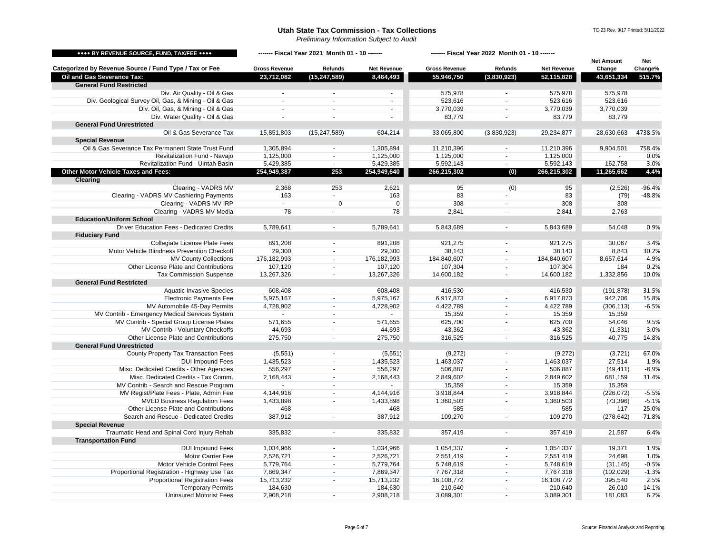*Preliminary Information Subject to Audit*

<span id="page-4-1"></span><span id="page-4-0"></span>

| **** BY REVENUE SOURCE, FUND, TAX/FEE ****                                |                      | ------- Fiscal Year 2021 Month 01 - 10 ------- |                    | ------- Fiscal Year 2022 Month 01 - 10 ------- |                          |                    |                             |                |
|---------------------------------------------------------------------------|----------------------|------------------------------------------------|--------------------|------------------------------------------------|--------------------------|--------------------|-----------------------------|----------------|
| Categorized by Revenue Source / Fund Type / Tax or Fee                    | <b>Gross Revenue</b> | Refunds                                        | <b>Net Revenue</b> | <b>Gross Revenue</b>                           | Refunds                  | <b>Net Revenue</b> | <b>Net Amount</b><br>Change | Net<br>Change% |
| Oil and Gas Severance Tax:                                                | 23,712,082           | (15, 247, 589)                                 | 8,464,493          | 55,946,750                                     | (3,830,923)              | 52,115,828         | 43,651,334                  | 515.7%         |
| <b>General Fund Restricted</b>                                            |                      |                                                |                    |                                                |                          |                    |                             |                |
| Div. Air Quality - Oil & Gas                                              |                      |                                                | $\blacksquare$     | 575,978                                        |                          | 575,978            | 575,978                     |                |
| Div. Geological Survey Oil, Gas, & Mining - Oil & Gas                     | $\sim$               | $\sim$                                         | $\blacksquare$     | 523,616                                        | $\blacksquare$           | 523,616            | 523,616                     |                |
| Div. Oil, Gas, & Mining - Oil & Gas                                       | $\sim$               |                                                | $\sim$             | 3,770,039                                      | $\sim$                   | 3,770,039          | 3,770,039                   |                |
| Div. Water Quality - Oil & Gas                                            | $\sim$               |                                                |                    | 83,779                                         |                          | 83,779             | 83,779                      |                |
| <b>General Fund Unrestricted</b>                                          |                      |                                                |                    |                                                |                          |                    |                             |                |
| Oil & Gas Severance Tax                                                   | 15,851,803           | (15, 247, 589)                                 | 604,214            | 33,065,800                                     | (3,830,923)              | 29,234,877         | 28,630,663                  | 4738.5%        |
| <b>Special Revenue</b>                                                    |                      |                                                |                    |                                                |                          |                    |                             |                |
| Oil & Gas Severance Tax Permanent State Trust Fund                        | 1,305,894            |                                                | 1,305,894          | 11,210,396                                     |                          | 11,210,396         | 9,904,501                   | 758.4%         |
| Revitalization Fund - Navaio                                              | 1,125,000            | $\sim$                                         | 1,125,000          | 1,125,000                                      | $\sim$                   | 1,125,000          |                             | 0.0%           |
| Revitalization Fund - Uintah Basin                                        | 5,429,385            | $\sim$                                         | 5,429,385          | 5,592,143                                      | $\sim$                   | 5,592,143          | 162,758                     | 3.0%           |
| Other Motor Vehicle Taxes and Fees:                                       | 254,949,387          | 253                                            | 254,949,640        | 266,215,302                                    | (0)                      | 266,215,302        | 11,265,662                  | 4.4%           |
| <b>Clearing</b>                                                           |                      |                                                |                    |                                                |                          |                    |                             |                |
| Clearing - VADRS MV                                                       | 2,368                | 253                                            | 2,621              | 95                                             | (0)                      | 95                 | (2,526)                     | $-96.4%$       |
| Clearing - VADRS MV Cashiering Payments                                   | 163                  | $\omega$                                       | 163                | 83                                             | $\sim$                   | 83                 | (79)                        | $-48.8%$       |
| Clearing - VADRS MV IRP                                                   | $\sim$               | $\mathbf 0$                                    | $\mathbf 0$        | 308                                            | $\blacksquare$           | 308                | 308                         |                |
| Clearing - VADRS MV Media                                                 | 78                   |                                                | 78                 | 2,841                                          |                          | 2,841              | 2,763                       |                |
| <b>Education/Uniform School</b>                                           |                      |                                                |                    |                                                |                          |                    |                             |                |
| Driver Education Fees - Dedicated Credits                                 | 5,789,641            |                                                | 5,789,641          | 5,843,689                                      | $\overline{\phantom{a}}$ | 5,843,689          | 54,048                      | 0.9%           |
| <b>Fiduciary Fund</b>                                                     |                      |                                                |                    |                                                |                          |                    |                             |                |
| Collegiate License Plate Fees                                             | 891,208              |                                                | 891,208            | 921,275                                        |                          | 921,275            | 30,067                      | 3.4%           |
| Motor Vehicle Blindness Prevention Checkoff                               | 29,300               | $\sim$                                         | 29,300             | 38,143                                         | $\blacksquare$           | 38,143             | 8,843                       | 30.2%          |
| <b>MV County Collections</b>                                              | 176,182,993          | $\sim$                                         | 176,182,993        | 184,840,607                                    | $\sim$                   | 184,840,607        | 8,657,614                   | 4.9%           |
| Other License Plate and Contributions                                     | 107,120              | $\overline{\phantom{a}}$                       | 107,120            | 107,304                                        | $\sim$                   | 107,304            | 184                         | 0.2%           |
| <b>Tax Commission Suspense</b>                                            | 13,267,326           | $\sim$                                         | 13,267,326         | 14,600,182                                     | $\sim$                   | 14,600,182         | 1,332,856                   | 10.0%          |
| <b>General Fund Restricted</b>                                            |                      |                                                |                    |                                                |                          |                    |                             |                |
| <b>Aquatic Invasive Species</b>                                           | 608,408              | $\sim$                                         | 608,408            | 416,530                                        | $\sim$                   | 416,530            | (191, 878)                  | $-31.5%$       |
| <b>Electronic Payments Fee</b>                                            | 5,975,167            | $\sim$                                         | 5,975,167          | 6,917,873                                      | $\sim$                   | 6,917,873          | 942,706                     | 15.8%          |
| MV Automobile 45-Day Permits                                              |                      | $\sim$                                         |                    |                                                | $\sim$                   |                    |                             |                |
| MV Contrib - Emergency Medical Services System                            | 4,728,902            | $\sim$                                         | 4,728,902          | 4,422,789                                      | $\sim$                   | 4,422,789          | (306, 113)<br>15,359        | $-6.5%$        |
| MV Contrib - Special Group License Plates                                 | 571,655              |                                                |                    | 15,359<br>625,700                              | $\sim$                   | 15,359<br>625,700  | 54,046                      | 9.5%           |
| MV Contrib - Voluntary Checkoffs                                          |                      |                                                | 571,655            |                                                |                          |                    |                             | $-3.0%$        |
|                                                                           | 44,693               | $\overline{\phantom{a}}$                       | 44,693             | 43,362                                         | $\sim$<br>$\sim$         | 43,362             | (1, 331)                    |                |
| Other License Plate and Contributions<br><b>General Fund Unrestricted</b> | 275,750              | $\blacksquare$                                 | 275,750            | 316,525                                        |                          | 316,525            | 40,775                      | 14.8%          |
|                                                                           |                      |                                                |                    |                                                |                          |                    |                             |                |
| County Property Tax Transaction Fees                                      | (5, 551)             | $\sim$                                         | (5, 551)           | (9,272)                                        |                          | (9,272)            | (3,721)                     | 67.0%          |
| <b>DUI Impound Fees</b>                                                   | 1,435,523            |                                                | 1,435,523          | 1,463,037                                      | $\sim$                   | 1,463,037          | 27,514                      | 1.9%           |
| Misc. Dedicated Credits - Other Agencies                                  | 556,297              | $\sim$                                         | 556,297            | 506,887                                        | $\sim$                   | 506,887            | (49, 411)                   | $-8.9%$        |
| Misc. Dedicated Credits - Tax Comm.                                       | 2,168,443            | $\blacksquare$                                 | 2,168,443          | 2,849,602                                      | $\blacksquare$           | 2,849,602          | 681,159                     | 31.4%          |
| MV Contrib - Search and Rescue Program                                    |                      | $\sim$                                         |                    | 15,359                                         | $\blacksquare$           | 15,359             | 15,359                      |                |
| MV Regist/Plate Fees - Plate, Admin Fee                                   | 4,144,916            | $\blacksquare$                                 | 4,144,916          | 3,918,844                                      | $\sim$                   | 3,918,844          | (226, 072)                  | $-5.5%$        |
| <b>MVED Business Regulation Fees</b>                                      | 1,433,898            | $\sim$                                         | 1,433,898          | 1,360,503                                      | $\sim$                   | 1,360,503          | (73, 396)                   | $-5.1%$        |
| Other License Plate and Contributions                                     | 468                  | $\overline{\phantom{a}}$                       | 468                | 585                                            | $\overline{\phantom{a}}$ | 585                | 117                         | 25.0%          |
| Search and Rescue - Dedicated Credits                                     | 387,912              | $\sim$                                         | 387,912            | 109,270                                        | $\sim$                   | 109,270            | (278, 642)                  | $-71.8%$       |
| <b>Special Revenue</b>                                                    |                      |                                                |                    |                                                |                          |                    |                             |                |
| Traumatic Head and Spinal Cord Injury Rehab                               | 335,832              |                                                | 335,832            | 357,419                                        |                          | 357,419            | 21,587                      | 6.4%           |
| <b>Transportation Fund</b>                                                |                      |                                                |                    |                                                |                          |                    |                             |                |
| <b>DUI Impound Fees</b>                                                   | 1,034,966            |                                                | 1,034,966          | 1,054,337                                      | $\sim$                   | 1,054,337          | 19,371                      | 1.9%           |
| Motor Carrier Fee                                                         | 2,526,721            | $\sim$                                         | 2,526,721          | 2,551,419                                      | $\sim$                   | 2,551,419          | 24,698                      | 1.0%           |
| <b>Motor Vehicle Control Fees</b>                                         | 5,779,764            | $\sim$                                         | 5,779,764          | 5,748,619                                      | $\sim$                   | 5,748,619          | (31, 145)                   | $-0.5%$        |
| Proportional Registration - Highway Use Tax                               | 7,869,347            | $\sim$                                         | 7,869,347          | 7,767,318                                      | $\overline{\phantom{a}}$ | 7,767,318          | (102, 029)                  | $-1.3%$        |
| <b>Proportional Registration Fees</b>                                     | 15,713,232           | $\sim$                                         | 15,713,232         | 16,108,772                                     | $\sim$                   | 16,108,772         | 395,540                     | 2.5%           |
| <b>Temporary Permits</b>                                                  | 184,630              | $\overline{\phantom{a}}$                       | 184,630            | 210,640                                        | $\overline{\phantom{a}}$ | 210,640            | 26,010                      | 14.1%          |
| <b>Uninsured Motorist Fees</b>                                            | 2,908,218            | $\blacksquare$                                 | 2,908,218          | 3,089,301                                      | $\sim$                   | 3,089,301          | 181,083                     | 6.2%           |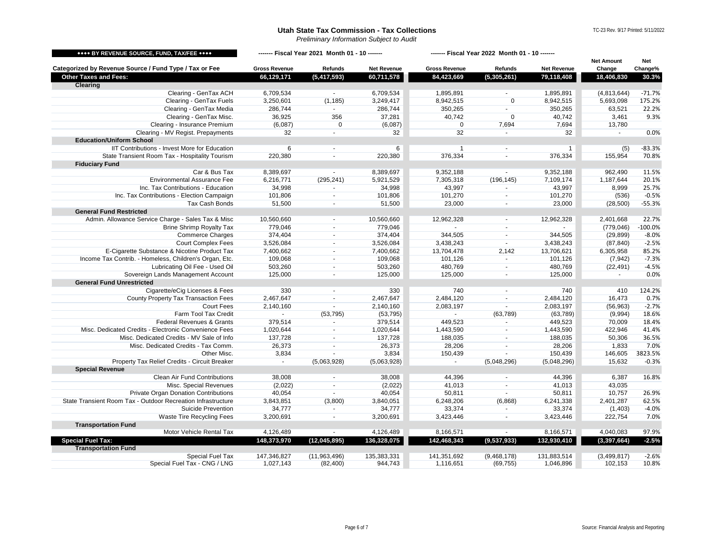*Preliminary Information Subject to Audit*

<span id="page-5-1"></span><span id="page-5-0"></span>

| **** BY REVENUE SOURCE, FUND, TAX/FEE ****                   | ------- Fiscal Year 2021 Month 01 - 10 ------- |                          |                    | ------- Fiscal Year 2022 Month 01 - 10 ------- |                             |                    |                   |           |
|--------------------------------------------------------------|------------------------------------------------|--------------------------|--------------------|------------------------------------------------|-----------------------------|--------------------|-------------------|-----------|
|                                                              |                                                |                          |                    |                                                |                             |                    | <b>Net Amount</b> | Net       |
| Categorized by Revenue Source / Fund Type / Tax or Fee       | <b>Gross Revenue</b>                           | Refunds                  | <b>Net Revenue</b> | <b>Gross Revenue</b>                           | Refunds                     | <b>Net Revenue</b> | Change            | Change%   |
| <b>Other Taxes and Fees:</b>                                 | 66,129,171                                     | (5,417,593)              | 60,711,578         | 84,423,669                                     | (5,305,261)                 | 79,118,408         | 18,406,830        | 30.3%     |
| Clearing                                                     |                                                |                          |                    |                                                |                             |                    |                   |           |
| Clearing - GenTax ACH                                        | 6,709,534                                      |                          | 6,709,534          | 1,895,891                                      |                             | 1,895,891          | (4,813,644)       | $-71.7%$  |
| Clearing - GenTax Fuels                                      | 3,250,601                                      | (1, 185)                 | 3,249,417          | 8,942,515                                      | $\mathbf 0$                 | 8,942,515          | 5,693,098         | 175.2%    |
| Clearing - GenTax Media                                      | 286,744                                        | $\sim$                   | 286,744            | 350,265                                        | $\omega$                    | 350,265            | 63,521            | 22.2%     |
| Clearing - GenTax Misc.                                      | 36,925                                         | 356                      | 37,281             | 40,742                                         | $\overline{0}$              | 40,742             | 3,461             | 9.3%      |
| Clearing - Insurance Premium                                 | (6,087)                                        | $\mathbf 0$              | (6,087)            | $\mathbf 0$                                    | 7,694                       | 7,694              | 13,780            |           |
| Clearing - MV Regist. Prepayments                            | 32                                             | $\mathbf{r}$             | 32                 | 32                                             | $\sim$                      | 32                 | $\sim$            | 0.0%      |
| <b>Education/Uniform School</b>                              |                                                |                          |                    |                                                |                             |                    |                   |           |
| IIT Contributions - Invest More for Education                | 6                                              |                          | 6                  | 1                                              | $\sim$                      | $\overline{1}$     | (5)               | $-83.3%$  |
| State Transient Room Tax - Hospitality Tourism               | 220,380                                        |                          | 220,380            | 376,334                                        |                             | 376,334            | 155,954           | 70.8%     |
| <b>Fiduciary Fund</b>                                        |                                                |                          |                    |                                                |                             |                    |                   |           |
| Car & Bus Tax                                                | 8,389,697                                      | $\sim$                   | 8,389,697          | 9,352,188                                      | $\sim$                      | 9,352,188          | 962,490           | 11.5%     |
| <b>Environmental Assurance Fee</b>                           | 6,216,771                                      | (295, 241)               | 5,921,529          | 7,305,318                                      | (196, 145)                  | 7,109,174          | 1,187,644         | 20.1%     |
| Inc. Tax Contributions - Education                           | 34,998                                         | $\sim$                   | 34,998             | 43,997                                         | $\blacksquare$              | 43,997             | 8,999             | 25.7%     |
| Inc. Tax Contributions - Election Campaign                   | 101,806                                        | $\omega$                 | 101,806            | 101,270                                        | $\mathcal{L}_{\mathcal{A}}$ | 101,270            | (536)             | $-0.5%$   |
| Tax Cash Bonds                                               | 51,500                                         | $\overline{\phantom{a}}$ | 51,500             | 23,000                                         | $\blacksquare$              | 23,000             | (28, 500)         | $-55.3%$  |
| <b>General Fund Restricted</b>                               |                                                |                          |                    |                                                |                             |                    |                   |           |
| Admin. Allowance Service Charge - Sales Tax & Misc           | 10,560,660                                     | $\sim$                   | 10,560,660         | 12,962,328                                     | $\sim$                      | 12,962,328         | 2.401.668         | 22.7%     |
| <b>Brine Shrimp Royalty Tax</b>                              | 779,046                                        | $\overline{\phantom{a}}$ | 779,046            |                                                | $\sim$                      |                    | (779, 046)        | $-100.0%$ |
| <b>Commerce Charges</b>                                      | 374,404                                        | $\blacksquare$           | 374,404            | 344,505                                        | $\blacksquare$              | 344,505            | (29, 899)         | $-8.0%$   |
| <b>Court Complex Fees</b>                                    | 3,526,084                                      | $\blacksquare$           | 3,526,084          | 3,438,243                                      | $\omega$                    | 3,438,243          | (87, 840)         | $-2.5%$   |
| E-Cigarette Substance & Nicotine Product Tax                 | 7,400,662                                      | $\sim$                   | 7,400,662          | 13,704,478                                     | 2,142                       | 13,706,621         | 6,305,958         | 85.2%     |
| Income Tax Contrib. - Homeless, Children's Organ, Etc.       | 109,068                                        | $\blacksquare$           | 109,068            | 101,126                                        | $\blacksquare$              | 101,126            | (7, 942)          | $-7.3%$   |
| Lubricating Oil Fee - Used Oil                               | 503,260                                        | $\blacksquare$           | 503,260            | 480,769                                        | $\sim$                      | 480,769            | (22, 491)         | $-4.5%$   |
| Sovereign Lands Management Account                           | 125,000                                        | $\blacksquare$           | 125,000            | 125,000                                        | $\tilde{\phantom{a}}$       | 125,000            | $\blacksquare$    | 0.0%      |
| <b>General Fund Unrestricted</b>                             |                                                |                          |                    |                                                |                             |                    |                   |           |
| Cigarette/eCig Licenses & Fees                               | 330                                            | $\overline{\phantom{a}}$ | 330                | 740                                            | $\sim$                      | 740                | 410               | 124.2%    |
| County Property Tax Transaction Fees                         | 2,467,647                                      | $\sim$                   | 2,467,647          | 2,484,120                                      | $\sim$                      | 2,484,120          | 16,473            | 0.7%      |
| <b>Court Fees</b>                                            | 2,140,160                                      | $\blacksquare$           | 2,140,160          | 2,083,197                                      | $\blacksquare$              | 2.083.197          | (56, 963)         | $-2.7%$   |
| Farm Tool Tax Credit                                         | $\sim$                                         | (53, 795)                | (53, 795)          | $\sim$                                         | (63, 789)                   | (63, 789)          | (9,994)           | 18.6%     |
| Federal Revenues & Grants                                    | 379,514                                        | $\blacksquare$           | 379,514            | 449,523                                        | $\blacksquare$              | 449,523            | 70,009            | 18.4%     |
| Misc. Dedicated Credits - Electronic Convenience Fees        | 1,020,644                                      | $\sim$                   | 1,020,644          | 1,443,590                                      | $\sim$                      | 1,443,590          | 422,946           | 41.4%     |
| Misc. Dedicated Credits - MV Sale of Info                    | 137,728                                        | $\blacksquare$           | 137,728            | 188,035                                        | $\blacksquare$              | 188,035            | 50,306            | 36.5%     |
| Misc. Dedicated Credits - Tax Comm.                          | 26,373                                         | $\blacksquare$           | 26,373             | 28,206                                         | $\blacksquare$              | 28,206             | 1,833             | 7.0%      |
| Other Misc.                                                  | 3,834                                          |                          | 3,834              | 150,439                                        |                             | 150,439            | 146,605           | 3823.5%   |
| Property Tax Relief Credits - Circuit Breaker                |                                                | (5,063,928)              | (5,063,928)        |                                                | (5,048,296)                 | (5,048,296)        | 15,632            | $-0.3%$   |
| <b>Special Revenue</b>                                       |                                                |                          |                    |                                                |                             |                    |                   |           |
| Clean Air Fund Contributions                                 | 38,008                                         |                          | 38,008             | 44,396                                         |                             | 44,396             | 6,387             | 16.8%     |
| Misc. Special Revenues                                       | (2,022)                                        | $\overline{\phantom{a}}$ | (2,022)            | 41,013                                         | $\sim$                      | 41,013             | 43,035            |           |
| <b>Private Organ Donation Contributions</b>                  | 40,054                                         | $\sim$                   | 40,054             | 50,811                                         | $\blacksquare$              | 50,811             | 10,757            | 26.9%     |
| State Transient Room Tax - Outdoor Recreation Infrastructure | 3,843,851                                      | (3,800)                  | 3,840,051          | 6,248,206                                      | (6,868)                     | 6,241,338          | 2,401,287         | 62.5%     |
| Suicide Prevention                                           | 34,777                                         | $\overline{\phantom{a}}$ | 34,777             | 33,374                                         | $\blacksquare$              | 33,374             | (1,403)           | $-4.0%$   |
| Waste Tire Recycling Fees                                    | 3,200,691                                      | $\blacksquare$           | 3,200,691          | 3,423,446                                      | $\omega$                    | 3,423,446          | 222,754           | 7.0%      |
| <b>Transportation Fund</b>                                   |                                                |                          |                    |                                                |                             |                    |                   |           |
| Motor Vehicle Rental Tax                                     | 4,126,489                                      | $\blacksquare$           | 4,126,489          | 8,166,571                                      | $\blacksquare$              | 8,166,571          | 4,040,083         | 97.9%     |
| <b>Special Fuel Tax:</b>                                     | 148,373,970                                    | (12, 045, 895)           | 136,328,075        | 142,468,343                                    | (9,537,933)                 | 132,930,410        | (3, 397, 664)     | $-2.5%$   |
| <b>Transportation Fund</b>                                   |                                                |                          |                    |                                                |                             |                    |                   |           |
| Special Fuel Tax                                             | 147,346,827                                    | (11,963,496)             | 135,383,331        | 141,351,692                                    | (9,468,178)                 | 131,883,514        | (3,499,817)       | $-2.6%$   |
| Special Fuel Tax - CNG / LNG                                 | 1,027,143                                      | (82, 400)                | 944,743            | 1,116,651                                      | (69, 755)                   | 1,046,896          | 102,153           | 10.8%     |